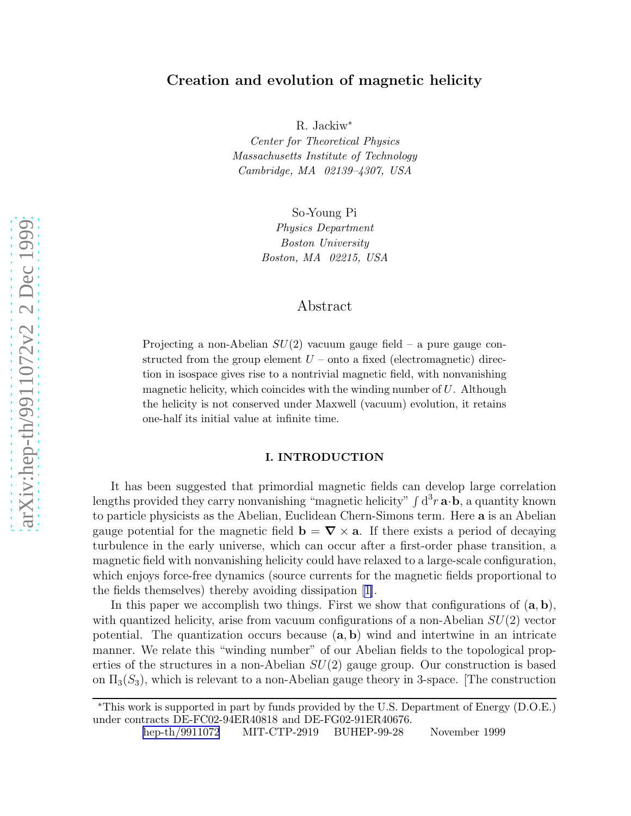# Creation and evolution of magnetic helicity

R. Jackiw<sup>\*</sup>

Center for Theoretical Physics Massachusetts Institute of Technology Cambridge, MA 02139–4307, USA

So -Young Pi

Physics Department Boston University Boston, MA 02215, USA

# Abstract

Projecting a non-Abelian  $SU(2)$  vacuum gauge field – a pure gauge constructed from the group element  $U$  – onto a fixed (electromagnetic) direction in isospace gives rise to a nontrivial magnetic field, with nonvanishing magnetic helicity, which coincides with the winding number of  $U$ . Although the helicity is not conserved under Maxwell (vacuum) evolution, it retains one-half its initial value at infinite time.

#### I. INTRODUCTION

It has been suggested that primordial magnetic fields can develop large correlation lengths provided they carry nonvanishing "magnetic helicity"  $\int d^3r \mathbf{a} \cdot \mathbf{b}$ , a quantity known to particle physicists as the Abelian, Euclidean Chern-Simons term. Here **a** is an Abelian gauge potential for the magnetic field  $\mathbf{b} = \nabla \times \mathbf{a}$ . If there exists a period of decaying turbulence in the early universe, which can occur after a first-order phase transition, a magnetic field with nonvanishing helicity could have relaxed to a large-scale configuration, which enjoys force-free dynamics (source currents for the magnetic fields proportional to the fields themselves) thereby avoiding dissipation [\[1\]](#page-12-0).

In this paper we accomplish two things. First we show that configurations of  $(a, b)$ , with quantized helicity, arise from vacuum configurations of a non-Abelian  $SU(2)$  vector potential. The quantization occurs because  $(a, b)$  wind and intertwine in an intricate manner. We relate this "winding number" of our Abelian fields to the topological properties of the structures in a non-Abelian  $SU(2)$  gauge group. Our construction is based on  $\Pi_3(S_3)$ , which is relevant to a non-Abelian gauge theory in 3-space. [The construction

<sup>∗</sup>This work is supported in part by funds provided by the U.S. Department of Energy (D.O.E.) under contracts DE-FC02-94ER40818 and DE-FG02-91ER40676 .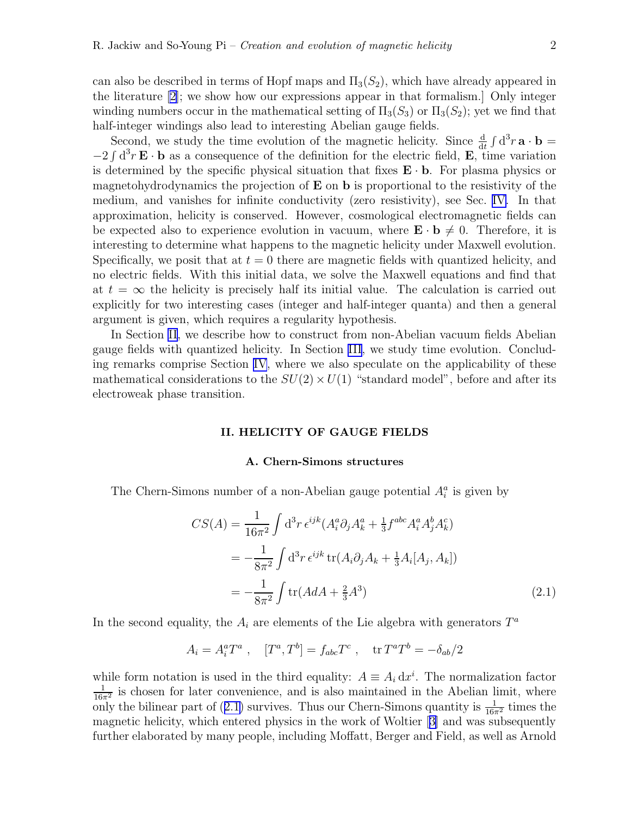can also be described in terms of Hopf maps and  $\Pi_3(S_2)$ , which have already appeared in the literature [\[2](#page-12-0)]; we show how our expressions appear in that formalism.] Only integer winding numbers occur in the mathematical setting of  $\Pi_3(S_3)$  or  $\Pi_3(S_2)$ ; yet we find that half-integer windings also lead to interesting Abelian gauge fields.

Second, we study the time evolution of the magnetic helicity. Since  $\frac{d}{dt} \int d^3 r \mathbf{a} \cdot \mathbf{b} =$  $-2 \int d^3 r \mathbf{E} \cdot \mathbf{b}$  as a consequence of the definition for the electric field, **E**, time variation is determined by the specific physical situation that fixes  $\mathbf{E} \cdot \mathbf{b}$ . For plasma physics or magnetohydrodynamics the projection of  $E$  on  $b$  is proportional to the resistivity of the medium, and vanishes for infinite conductivity (zero resistivity), see Sec. [IV.](#page-10-0) In that approximation, helicity is conserved. However, cosmological electromagnetic fields can be expected also to experience evolution in vacuum, where  $\mathbf{E} \cdot \mathbf{b} \neq 0$ . Therefore, it is interesting to determine what happens to the magnetic helicity under Maxwell evolution. Specifically, we posit that at  $t = 0$  there are magnetic fields with quantized helicity, and no electric fields. With this initial data, we solve the Maxwell equations and find that at  $t = \infty$  the helicity is precisely half its initial value. The calculation is carried out explicitly for two interesting cases (integer and half-integer quanta) and then a general argument is given, which requires a regularity hypothesis.

In Section II, we describe how to construct from non-Abelian vacuum fields Abelian gauge fields with quantized helicity. In Section [III](#page-7-0), we study time evolution. Concluding remarks comprise Section [IV](#page-10-0), where we also speculate on the applicability of these mathematical considerations to the  $SU(2) \times U(1)$  "standard model", before and after its electroweak phase transition.

## II. HELICITY OF GAUGE FIELDS

#### A. Chern-Simons structures

The Chern-Simons number of a non-Abelian gauge potential  $A_i^a$  is given by

$$
CS(A) = \frac{1}{16\pi^2} \int d^3r \,\epsilon^{ijk} (A_i^a \partial_j A_k^a + \frac{1}{3} f^{abc} A_i^a A_j^b A_k^c)
$$
  
= 
$$
-\frac{1}{8\pi^2} \int d^3r \,\epsilon^{ijk} \, tr(A_i \partial_j A_k + \frac{1}{3} A_i [A_j, A_k])
$$
  
= 
$$
-\frac{1}{8\pi^2} \int tr(A dA + \frac{2}{3} A^3)
$$
 (2.1)

In the second equality, the  $A_i$  are elements of the Lie algebra with generators  $T^a$ 

$$
A_i = A_i^a T^a
$$
,  $[T^a, T^b] = f_{abc} T^c$ ,  $tr T^a T^b = -\delta_{ab}/2$ 

while form notation is used in the third equality:  $A \equiv A_i dx^i$ . The normalization factor  $\frac{1}{16\pi^2}$  is chosen for later convenience, and is also maintained in the Abelian limit, where only the bilinear part of (2.1) survives. Thus our Chern-Simons quantity is  $\frac{1}{16\pi^2}$  times the magnetic helicity, which entered physics in the work of Woltier[[3\]](#page-12-0) and was subsequently further elaborated by many people, including Moffatt, Berger and Field, as well as Arnold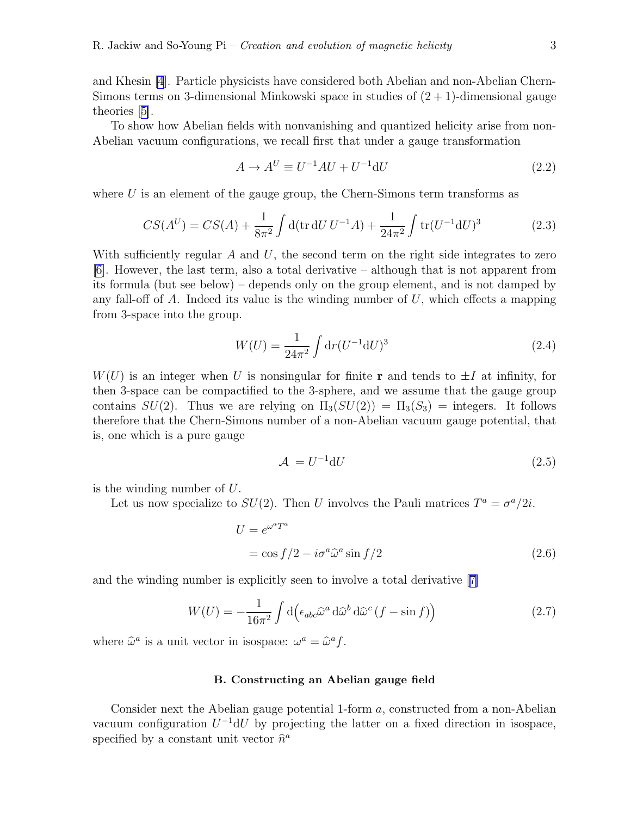<span id="page-2-0"></span>and Khesin [\[4](#page-12-0)]. Particle physicists have considered both Abelian and non-Abelian Chern-Simons terms on 3-dimensional Minkowski space in studies of  $(2 + 1)$ -dimensional gauge theories[[5\]](#page-12-0).

To show how Abelian fields with nonvanishing and quantized helicity arise from non-Abelian vacuum configurations, we recall first that under a gauge transformation

$$
A \to A^U \equiv U^{-1}AU + U^{-1}dU
$$
\n
$$
(2.2)
$$

where  $U$  is an element of the gauge group, the Chern-Simons term transforms as

$$
CS(A^U) = CS(A) + \frac{1}{8\pi^2} \int d(\text{tr}\,dU\,U^{-1}A) + \frac{1}{24\pi^2} \int \text{tr}(U^{-1}dU)^3 \tag{2.3}
$$

With sufficiently regular  $A$  and  $U$ , the second term on the right side integrates to zero  $[6]$  $[6]$ . However, the last term, also a total derivative – although that is not apparent from its formula (but see below) – depends only on the group element, and is not damped by any fall-off of  $A$ . Indeed its value is the winding number of  $U$ , which effects a mapping from 3-space into the group.

$$
W(U) = \frac{1}{24\pi^2} \int \mathrm{d}r (U^{-1} \mathrm{d}U)^3 \tag{2.4}
$$

 $W(U)$  is an integer when U is nonsingular for finite r and tends to  $\pm I$  at infinity, for then 3-space can be compactified to the 3-sphere, and we assume that the gauge group contains  $SU(2)$ . Thus we are relying on  $\Pi_3(SU(2)) = \Pi_3(S_3) =$  integers. It follows therefore that the Chern-Simons number of a non-Abelian vacuum gauge potential, that is, one which is a pure gauge

$$
\mathcal{A} = U^{-1} \mathrm{d} U \tag{2.5}
$$

is the winding number of U.

Let us now specialize to  $SU(2)$ . Then U involves the Pauli matrices  $T^a = \sigma^a/2i$ .

$$
U = e^{\omega^a T^a}
$$
  
= cos f/2 - i $\sigma^a \hat{\omega}^a$  sin f/2 (2.6)

and the winding number is explicitly seen to involve a total derivative[[7\]](#page-12-0)

$$
W(U) = -\frac{1}{16\pi^2} \int d\left(\epsilon_{abc}\hat{\omega}^a d\hat{\omega}^b d\hat{\omega}^c (f - \sin f)\right)
$$
 (2.7)

where  $\hat{\omega}^a$  is a unit vector in isospace:  $\omega^a = \hat{\omega}^a f$ .

### B. Constructing an Abelian gauge field

Consider next the Abelian gauge potential 1-form a, constructed from a non-Abelian vacuum configuration  $U^{-1}dU$  by projecting the latter on a fixed direction in isospace, specified by a constant unit vector  $\hat{n}^a$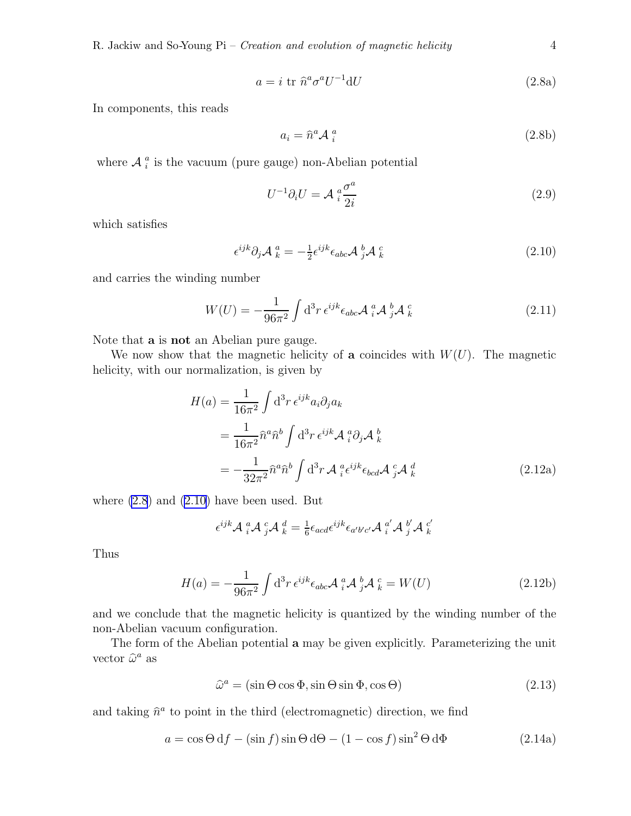$$
a = i \operatorname{tr} \hat{n}^a \sigma^a U^{-1} \mathrm{d} U \tag{2.8a}
$$

<span id="page-3-0"></span>In components, this reads

$$
a_i = \hat{n}^a \mathcal{A}_i^a \tag{2.8b}
$$

where  $A_i^a$  $\frac{a}{i}$  is the vacuum (pure gauge) non-Abelian potential

$$
U^{-1}\partial_i U = \mathcal{A}^a_i \frac{\sigma^a}{2i} \tag{2.9}
$$

which satisfies

$$
\epsilon^{ijk}\partial_j \mathcal{A}^a_k = -\frac{1}{2}\epsilon^{ijk}\epsilon_{abc}\mathcal{A}^b_j \mathcal{A}^c_k
$$
\n(2.10)

and carries the winding number

$$
W(U) = -\frac{1}{96\pi^2} \int d^3r \,\epsilon^{ijk} \epsilon_{abc} \mathcal{A}^a_i \mathcal{A}^b_j \mathcal{A}^c_k
$$
 (2.11)

Note that a is not an Abelian pure gauge.

We now show that the magnetic helicity of a coincides with  $W(U)$ . The magnetic helicity, with our normalization, is given by

$$
H(a) = \frac{1}{16\pi^2} \int d^3r \,\epsilon^{ijk} a_i \partial_j a_k
$$
  
= 
$$
\frac{1}{16\pi^2} \hat{n}^a \hat{n}^b \int d^3r \,\epsilon^{ijk} \mathcal{A}^a_i \partial_j \mathcal{A}^b_k
$$
  
= 
$$
-\frac{1}{32\pi^2} \hat{n}^a \hat{n}^b \int d^3r \,\mathcal{A}^a_i \epsilon^{ijk} \epsilon_{bcd} \mathcal{A}^c_j \mathcal{A}^d_k
$$
(2.12a)

where  $(2.8)$  and  $(2.10)$  have been used. But

$$
\epsilon^{ijk} \mathcal{A} \, \, {}^a_i \mathcal{A} \, \, {}^c_j \mathcal{A} \, \, {}^d_k = \tfrac{1}{6} \epsilon_{acd} \epsilon^{ijk} \epsilon_{a'b'c'} \mathcal{A} \, \, {}^a_i \mathcal{A} \, \, {}^b_j \mathcal{A} \, \, {}^c_k
$$

Thus

$$
H(a) = -\frac{1}{96\pi^2} \int d^3r \,\epsilon^{ijk} \epsilon_{abc} \mathcal{A}^a_i \mathcal{A}^b_j \mathcal{A}^c_k = W(U) \tag{2.12b}
$$

and we conclude that the magnetic helicity is quantized by the winding number of the non-Abelian vacuum configuration.

The form of the Abelian potential a may be given explicitly. Parameterizing the unit vector  $\widehat{\omega}^a$  as

$$
\hat{\omega}^a = (\sin \Theta \cos \Phi, \sin \Theta \sin \Phi, \cos \Theta) \tag{2.13}
$$

and taking  $\hat{n}^a$  to point in the third (electromagnetic) direction, we find

$$
a = \cos\Theta \, df - (\sin f) \sin\Theta \, d\Theta - (1 - \cos f) \sin^2\Theta \, d\Phi \tag{2.14a}
$$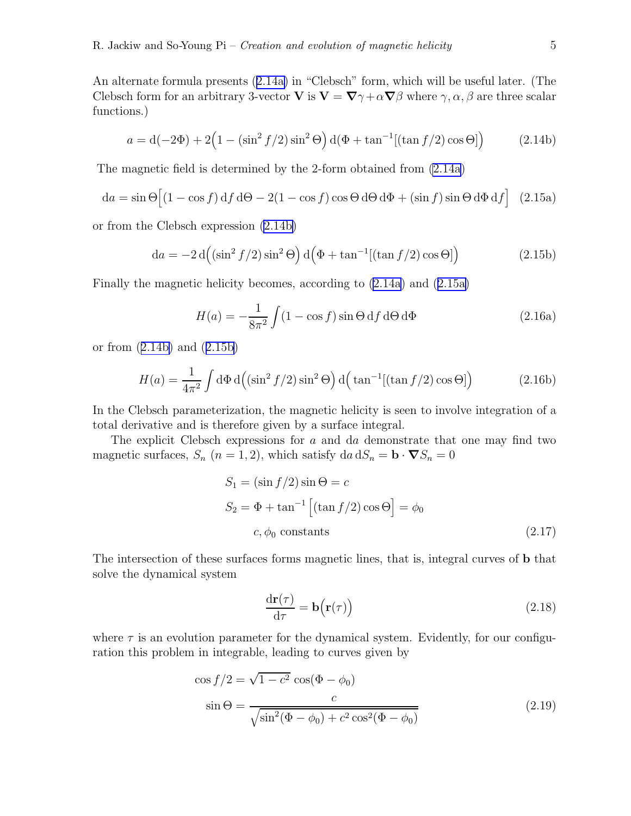<span id="page-4-0"></span>An alternate formula presents([2.14a\)](#page-3-0) in "Clebsch" form, which will be useful later. (The Clebsch form for an arbitrary 3-vector **V** is  $V = \nabla \gamma + \alpha \nabla \beta$  where  $\gamma, \alpha, \beta$  are three scalar functions.)

$$
a = d(-2\Phi) + 2\left(1 - (\sin^2 f/2)\sin^2 \Theta\right) d(\Phi + \tan^{-1}[(\tan f/2)\cos \Theta])
$$
 (2.14b)

The magnetic field is determined by the 2-form obtained from [\(2.14a](#page-3-0))

$$
da = \sin \Theta \left[ (1 - \cos f) df d\Theta - 2(1 - \cos f) \cos \Theta d\Theta d\Phi + (\sin f) \sin \Theta d\Phi df \right]
$$
 (2.15a)

or from the Clebsch expression (2.14b)

$$
da = -2 d((\sin^2 f/2) \sin^2 \Theta) d(\Phi + \tan^{-1}[(\tan f/2) \cos \Theta])
$$
 (2.15b)

Finally the magnetic helicity becomes, according to [\(2.14a](#page-3-0)) and (2.15a)

$$
H(a) = -\frac{1}{8\pi^2} \int (1 - \cos f) \sin \Theta \, df \, d\Theta \, d\Phi \tag{2.16a}
$$

or from (2.14b) and (2.15b)

$$
H(a) = \frac{1}{4\pi^2} \int d\Phi \, d\left( (\sin^2 f/2) \sin^2 \Theta \right) d\left( \tan^{-1} [(\tan f/2) \cos \Theta] \right) \tag{2.16b}
$$

In the Clebsch parameterization, the magnetic helicity is seen to involve integration of a total derivative and is therefore given by a surface integral.

The explicit Clebsch expressions for a and da demonstrate that one may find two magnetic surfaces,  $S_n$   $(n = 1, 2)$ , which satisfy  $da dS_n = b \cdot \nabla S_n = 0$ 

$$
S_1 = (\sin f/2) \sin \Theta = c
$$
  
\n
$$
S_2 = \Phi + \tan^{-1} [(\tan f/2) \cos \Theta] = \phi_0
$$
  
\n
$$
c, \phi_0 \text{ constants}
$$
\n(2.17)

The intersection of these surfaces forms magnetic lines, that is, integral curves of b that solve the dynamical system

$$
\frac{\mathrm{d}\mathbf{r}(\tau)}{\mathrm{d}\tau} = \mathbf{b}\big(\mathbf{r}(\tau)\big) \tag{2.18}
$$

where  $\tau$  is an evolution parameter for the dynamical system. Evidently, for our configuration this problem in integrable, leading to curves given by

$$
\cos f/2 = \sqrt{1 - c^2} \cos(\Phi - \phi_0)
$$
  

$$
\sin \Theta = \frac{c}{\sqrt{\sin^2(\Phi - \phi_0) + c^2 \cos^2(\Phi - \phi_0)}}
$$
(2.19)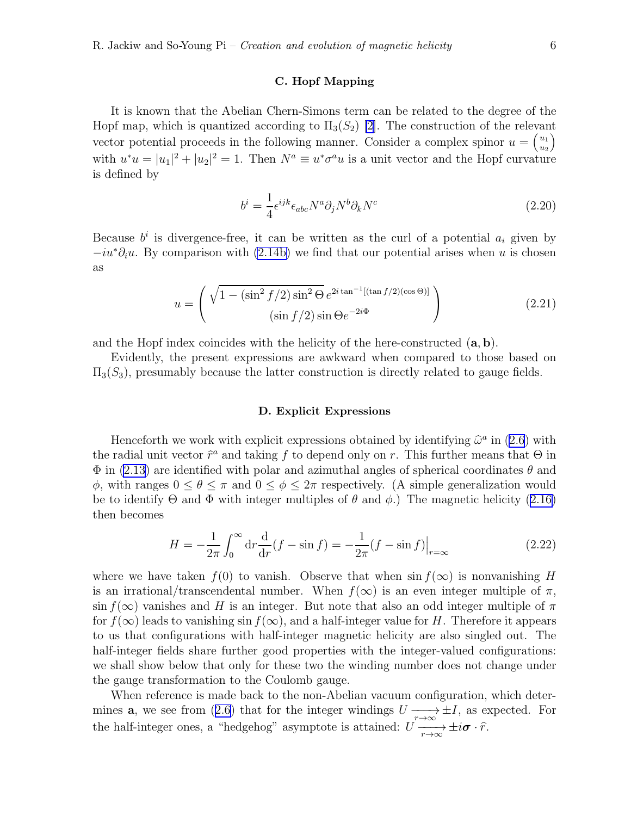#### C. Hopf Mapping

<span id="page-5-0"></span>It is known that the Abelian Chern-Simons term can be related to the degree of the Hopf map, which is quantized according to  $\Pi_3(S_2)$  [\[2](#page-12-0)]. The construction of the relevant vector potential proceeds in the following manner. Consider a complex spinor  $u = \begin{pmatrix} u_1 \\ u_2 \end{pmatrix}$  $u_2$  $\overline{ }$ with  $u^*u = |u_1|^2 + |u_2|^2 = 1$ . Then  $N^a \equiv u^*\sigma^a u$  is a unit vector and the Hopf curvature is defined by

$$
b^{i} = \frac{1}{4} \epsilon^{ijk} \epsilon_{abc} N^{a} \partial_{j} N^{b} \partial_{k} N^{c}
$$
 (2.20)

Because  $b^i$  is divergence-free, it can be written as the curl of a potential  $a_i$  given by  $-iu^*\partial_i u$ . By comparison with [\(2.14b\)](#page-4-0) we find that our potential arises when u is chosen as

$$
u = \begin{pmatrix} \sqrt{1 - (\sin^2 f/2) \sin^2 \Theta} e^{2i \tan^{-1} [(\tan f/2)(\cos \Theta)]} \\ (\sin f/2) \sin \Theta e^{-2i \Phi} \end{pmatrix}
$$
 (2.21)

and the Hopf index coincides with the helicity of the here-constructed  $(a, b)$ .

Evidently, the present expressions are awkward when compared to those based on  $\Pi_3(S_3)$ , presumably because the latter construction is directly related to gauge fields.

#### D. Explicit Expressions

Henceforth we work with explicit expressions obtained by identifying  $\hat{\omega}^a$  in [\(2.6](#page-2-0)) with the radial unit vector  $\hat{r}^a$  and taking f to depend only on r. This further means that  $\Theta$  in  $\Phi$  in [\(2.13](#page-3-0)) are identified with polar and azimuthal angles of spherical coordinates  $\theta$  and  $\phi$ , with ranges  $0 \le \theta \le \pi$  and  $0 \le \phi \le 2\pi$  respectively. (A simple generalization would beto identify  $\Theta$  and  $\Phi$  with integer multiples of  $\theta$  and  $\phi$ .) The magnetic helicity ([2.16\)](#page-4-0) then becomes

$$
H = -\frac{1}{2\pi} \int_0^\infty dr \frac{d}{dr} (f - \sin f) = -\frac{1}{2\pi} (f - \sin f) \Big|_{r = \infty}
$$
 (2.22)

where we have taken  $f(0)$  to vanish. Observe that when  $\sin f(\infty)$  is nonvanishing H is an irrational/transcendental number. When  $f(\infty)$  is an even integer multiple of  $\pi$ ,  $\sin f(x)$  vanishes and H is an integer. But note that also an odd integer multiple of  $\pi$ for  $f(\infty)$  leads to vanishing sin  $f(\infty)$ , and a half-integer value for H. Therefore it appears to us that configurations with half-integer magnetic helicity are also singled out. The half-integer fields share further good properties with the integer-valued configurations: we shall show below that only for these two the winding number does not change under the gauge transformation to the Coulomb gauge.

When reference is made back to the non-Abelian vacuum configuration, which determines**a**, we see from ([2.6\)](#page-2-0) that for the integer windings  $U \longrightarrow_{r \to \infty} \pm I$ , as expected. For the half-integer ones, a "hedgehog" asymptote is attained:  $U \frac{\partial}{\partial x} \to i\sigma \cdot \hat{r}$ .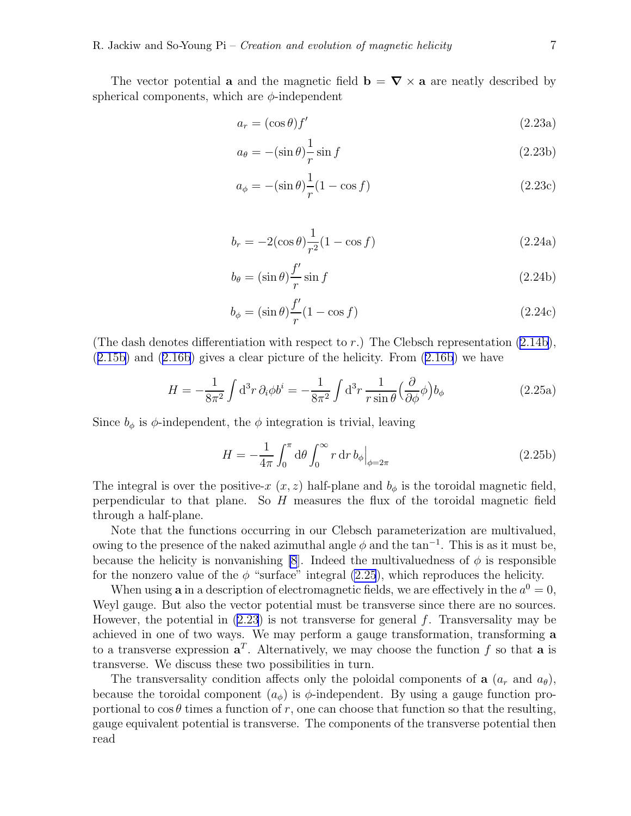<span id="page-6-0"></span>The vector potential **a** and the magnetic field  $\mathbf{b} = \nabla \times \mathbf{a}$  are neatly described by spherical components, which are  $\phi$ -independent

$$
a_r = (\cos \theta) f' \tag{2.23a}
$$

$$
a_{\theta} = -(\sin \theta) \frac{1}{r} \sin f \tag{2.23b}
$$

$$
a_{\phi} = -(\sin \theta) \frac{1}{r} (1 - \cos f) \tag{2.23c}
$$

$$
b_r = -2(\cos \theta) \frac{1}{r^2} (1 - \cos f)
$$
 (2.24a)

$$
b_{\theta} = (\sin \theta) \frac{f'}{r} \sin f \tag{2.24b}
$$

$$
b_{\phi} = (\sin \theta) \frac{f'}{r} (1 - \cos f) \tag{2.24c}
$$

(Thedash denotes differentiation with respect to r.) The Clebsch representation  $(2.14b)$  $(2.14b)$  $(2.14b)$ , ([2.15b\)](#page-4-0) and([2.16b](#page-4-0)) gives a clear picture of the helicity. From([2.16b](#page-4-0)) we have

$$
H = -\frac{1}{8\pi^2} \int d^3r \,\partial_i \phi b^i = -\frac{1}{8\pi^2} \int d^3r \, \frac{1}{r \sin \theta} \Big(\frac{\partial}{\partial \phi} \phi\Big) b_\phi \tag{2.25a}
$$

Since  $b_{\phi}$  is  $\phi$ -independent, the  $\phi$  integration is trivial, leaving

$$
H = -\frac{1}{4\pi} \int_0^{\pi} d\theta \int_0^{\infty} r dr \, b_{\phi} \Big|_{\phi = 2\pi}
$$
 (2.25b)

The integral is over the positive-x  $(x, z)$  half-plane and  $b_{\phi}$  is the toroidal magnetic field, perpendicular to that plane. So  $H$  measures the flux of the toroidal magnetic field through a half-plane.

Note that the functions occurring in our Clebsch parameterization are multivalued, owing to the presence of the naked azimuthal angle  $\phi$  and the tan<sup>-1</sup>. This is as it must be, because the helicity is nonvanishing [\[8](#page-12-0)]. Indeed the multivaluedness of  $\phi$  is responsible for the nonzero value of the  $\phi$  "surface" integral (2.25), which reproduces the helicity.

When using **a** in a description of electromagnetic fields, we are effectively in the  $a^0 = 0$ , Weyl gauge. But also the vector potential must be transverse since there are no sources. However, the potential in  $(2.23)$  is not transverse for general f. Transversality may be achieved in one of two ways. We may perform a gauge transformation, transforming a to a transverse expression  $a^T$ . Alternatively, we may choose the function f so that a is transverse. We discuss these two possibilities in turn.

The transversality condition affects only the poloidal components of **a**  $(a_r \text{ and } a_\theta)$ , because the toroidal component  $(a_{\phi})$  is  $\phi$ -independent. By using a gauge function proportional to  $\cos \theta$  times a function of r, one can choose that function so that the resulting, gauge equivalent potential is transverse. The components of the transverse potential then read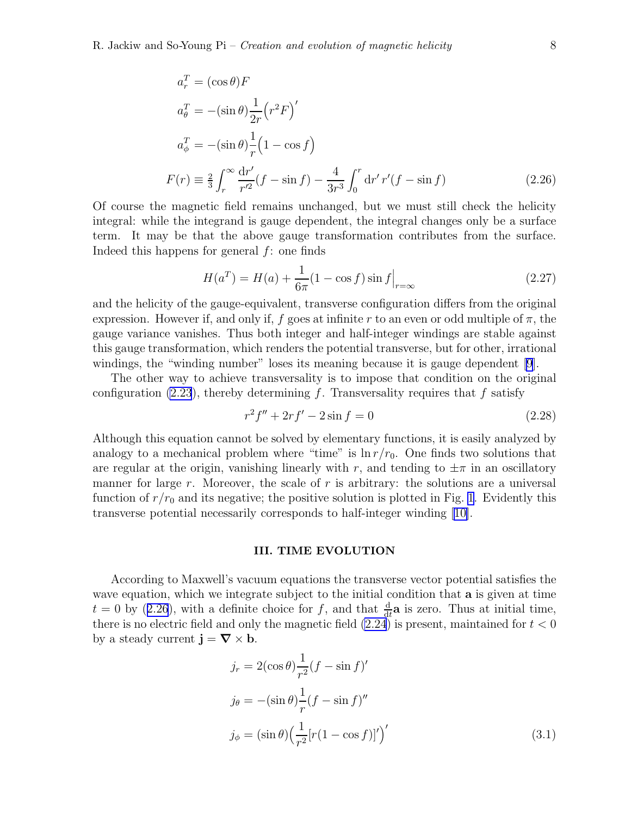<span id="page-7-0"></span>
$$
a_r^T = (\cos \theta) F
$$
  
\n
$$
a_\theta^T = -(\sin \theta) \frac{1}{2r} (r^2 F)'
$$
  
\n
$$
a_\phi^T = -(\sin \theta) \frac{1}{r} (1 - \cos f)
$$
  
\n
$$
F(r) \equiv \frac{2}{3} \int_r^\infty \frac{dr'}{r'^2} (f - \sin f) - \frac{4}{3r^3} \int_0^r dr' r'(f - \sin f)
$$
\n(2.26)

Of course the magnetic field remains unchanged, but we must still check the helicity integral: while the integrand is gauge dependent, the integral changes only be a surface term. It may be that the above gauge transformation contributes from the surface. Indeed this happens for general  $f$ : one finds

$$
H(a^T) = H(a) + \frac{1}{6\pi} (1 - \cos f) \sin f \Big|_{r = \infty}
$$
 (2.27)

and the helicity of the gauge-equivalent, transverse configuration differs from the original expression. However if, and only if, f goes at infinite r to an even or odd multiple of  $\pi$ , the gauge variance vanishes. Thus both integer and half-integer windings are stable against this gauge transformation, which renders the potential transverse, but for other, irrational windings, the "winding number" loses its meaning because it is gauge dependent [\[9](#page-12-0)].

The other way to achieve transversality is to impose that condition on the original configuration [\(2.23](#page-5-0)), thereby determining f. Transversality requires that f satisfy

$$
r^2 f'' + 2r f' - 2\sin f = 0\tag{2.28}
$$

Although this equation cannot be solved by elementary functions, it is easily analyzed by analogy to a mechanical problem where "time" is  $\ln r/r_0$ . One finds two solutions that are regular at the origin, vanishing linearly with r, and tending to  $\pm\pi$  in an oscillatory manner for large  $r$ . Moreover, the scale of  $r$  is arbitrary: the solutions are a universal function of  $r/r_0$  and its negative; the positive solution is plotted in Fig. [1](#page-8-0). Evidently this transverse potential necessarily corresponds to half-integer winding[[10\]](#page-12-0).

#### III. TIME EVOLUTION

According to Maxwell's vacuum equations the transverse vector potential satisfies the wave equation, which we integrate subject to the initial condition that **a** is given at time  $t = 0$  by (2.26), with a definite choice for f, and that  $\frac{d}{dt}\mathbf{a}$  is zero. Thus at initial time, there is no electric field and only the magnetic field  $(2.24)$  is present, maintained for  $t < 0$ by a steady current  $\mathbf{j} = \nabla \times \mathbf{b}$ .

$$
j_r = 2(\cos \theta) \frac{1}{r^2} (f - \sin f)'
$$
  
\n
$$
j_{\theta} = -(\sin \theta) \frac{1}{r} (f - \sin f)''
$$
  
\n
$$
j_{\phi} = (\sin \theta) \Big(\frac{1}{r^2} [r(1 - \cos f)]'\Big)'
$$
\n(3.1)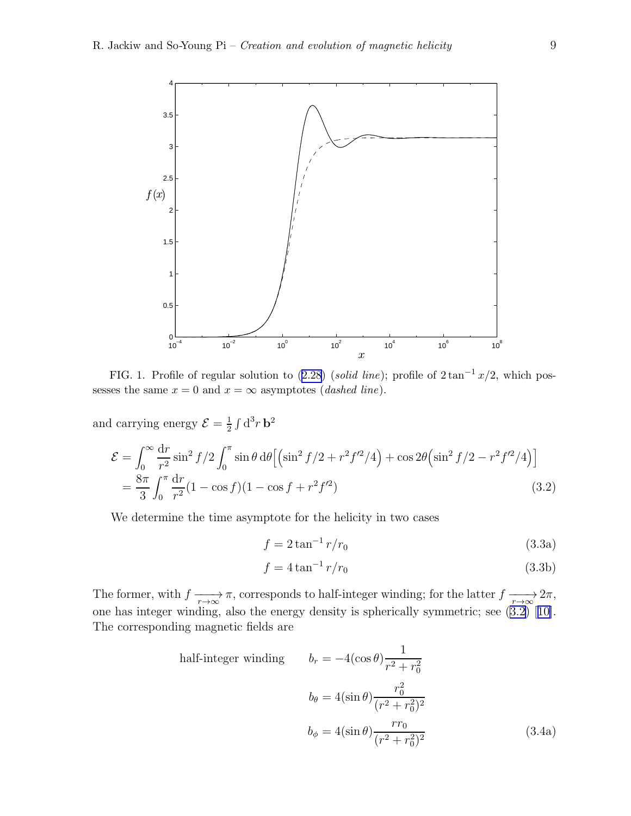<span id="page-8-0"></span>

FIG.1. Profile of regular solution to  $(2.28)$  $(2.28)$  $(2.28)$  (solid line); profile of  $2 \tan^{-1} x/2$ , which possesses the same  $x = 0$  and  $x = \infty$  asymptotes (*dashed line*).

and carrying energy  $\mathcal{E} = \frac{1}{2}$  $\frac{1}{2} \int d^3 r \, \mathbf{b}^2$ 

$$
\mathcal{E} = \int_0^\infty \frac{dr}{r^2} \sin^2 f/2 \int_0^\pi \sin \theta \, d\theta \left[ \left( \sin^2 f/2 + r^2 f'^2/4 \right) + \cos 2\theta \left( \sin^2 f/2 - r^2 f'^2/4 \right) \right]
$$
  
=  $\frac{8\pi}{3} \int_0^\pi \frac{dr}{r^2} (1 - \cos f)(1 - \cos f + r^2 f'^2)$  (3.2)

We determine the time asymptote for the helicity in two cases

$$
f = 2 \tan^{-1} r/r_0 \tag{3.3a}
$$

$$
f = 4 \tan^{-1} r/r_0 \tag{3.3b}
$$

The former, with  $f \longrightarrow_{r \to \infty} \pi$ , corresponds to half-integer winding; for the latter  $f \longrightarrow_{r \to \infty} 2\pi$ , onehas integer winding, also the energy density is spherically symmetric; see  $(3.2)$  [[10\]](#page-12-0). The corresponding magnetic fields are

half-integer winding 
$$
b_r = -4(\cos \theta) \frac{1}{r^2 + r_0^2}
$$

$$
b_\theta = 4(\sin \theta) \frac{r_0^2}{(r^2 + r_0^2)^2}
$$

$$
b_\phi = 4(\sin \theta) \frac{rr_0}{(r^2 + r_0^2)^2}
$$
(3.4a)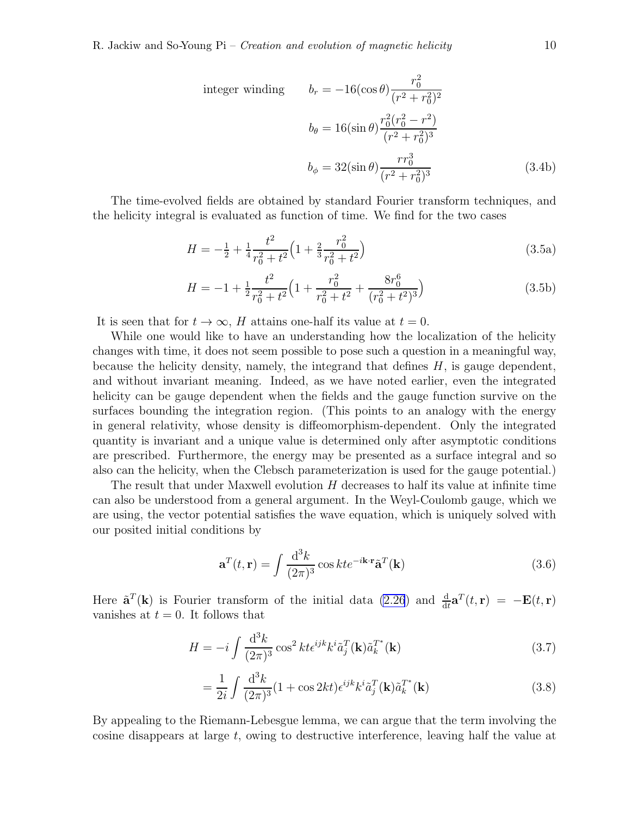integer winding 
$$
b_r = -16(\cos \theta) \frac{r_0^2}{(r^2 + r_0^2)^2}
$$
  
\n
$$
b_{\theta} = 16(\sin \theta) \frac{r_0^2 (r_0^2 - r^2)}{(r^2 + r_0^2)^3}
$$
\n
$$
b_{\phi} = 32(\sin \theta) \frac{r r_0^3}{(r^2 + r_0^2)^3}
$$
\n(3.4b)

The time-evolved fields are obtained by standard Fourier transform techniques, and the helicity integral is evaluated as function of time. We find for the two cases

$$
H = -\frac{1}{2} + \frac{1}{4} \frac{t^2}{r_0^2 + t^2} \left( 1 + \frac{2}{3} \frac{r_0^2}{r_0^2 + t^2} \right)
$$
 (3.5a)

$$
H = -1 + \frac{1}{2} \frac{t^2}{r_0^2 + t^2} \left( 1 + \frac{r_0^2}{r_0^2 + t^2} + \frac{8r_0^6}{(r_0^2 + t^2)^3} \right)
$$
(3.5b)

It is seen that for  $t \to \infty$ , H attains one-half its value at  $t = 0$ .

While one would like to have an understanding how the localization of the helicity changes with time, it does not seem possible to pose such a question in a meaningful way, because the helicity density, namely, the integrand that defines  $H$ , is gauge dependent, and without invariant meaning. Indeed, as we have noted earlier, even the integrated helicity can be gauge dependent when the fields and the gauge function survive on the surfaces bounding the integration region. (This points to an analogy with the energy in general relativity, whose density is diffeomorphism-dependent. Only the integrated quantity is invariant and a unique value is determined only after asymptotic conditions are prescribed. Furthermore, the energy may be presented as a surface integral and so also can the helicity, when the Clebsch parameterization is used for the gauge potential.)

The result that under Maxwell evolution H decreases to half its value at infinite time can also be understood from a general argument. In the Weyl-Coulomb gauge, which we are using, the vector potential satisfies the wave equation, which is uniquely solved with our posited initial conditions by

$$
\mathbf{a}^{T}(t,\mathbf{r}) = \int \frac{\mathrm{d}^{3}k}{(2\pi)^{3}} \cos kt e^{-i\mathbf{k}\cdot\mathbf{r}} \tilde{\mathbf{a}}^{T}(\mathbf{k})
$$
(3.6)

Here  $\tilde{\mathbf{a}}^T(\mathbf{k})$  is Fourier transform of the initial data [\(2.26](#page-7-0)) and  $\frac{d}{dt}\mathbf{a}^T(t,\mathbf{r}) = -\mathbf{E}(t,\mathbf{r})$ vanishes at  $t = 0$ . It follows that

$$
H = -i \int \frac{\mathrm{d}^3 k}{(2\pi)^3} \cos^2 kt \epsilon^{ijk} k^i \tilde{a}_j^T(\mathbf{k}) \tilde{a}_k^{T^*}(\mathbf{k}) \tag{3.7}
$$

$$
=\frac{1}{2i}\int\frac{\mathrm{d}^{3}k}{(2\pi)^{3}}(1+\cos 2kt)\epsilon^{ijk}k^{i}\tilde{a}_{j}^{T}(\mathbf{k})\tilde{a}_{k}^{T^{*}}(\mathbf{k})
$$
\n(3.8)

By appealing to the Riemann-Lebesgue lemma, we can argue that the term involving the cosine disappears at large  $t$ , owing to destructive interference, leaving half the value at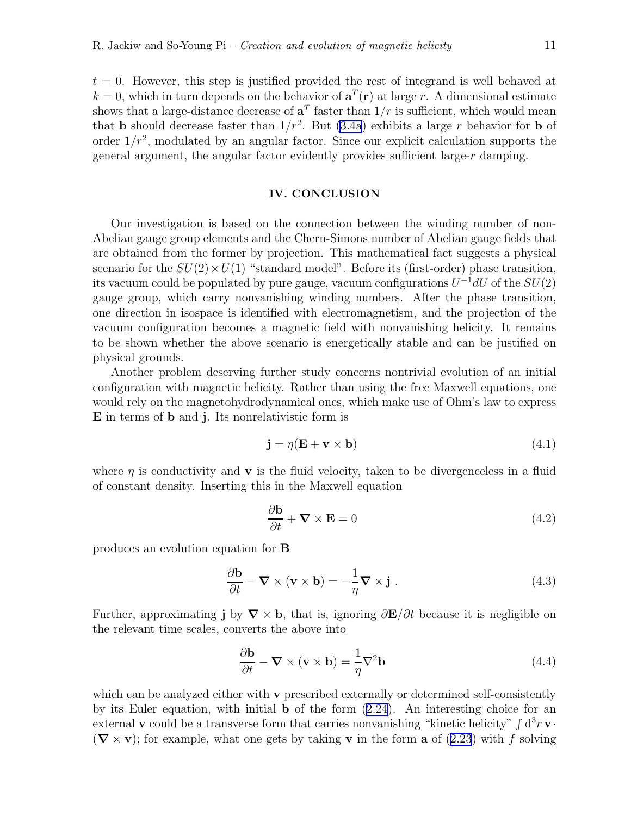<span id="page-10-0"></span> $t = 0$ . However, this step is justified provided the rest of integrand is well behaved at  $k = 0$ , which in turn depends on the behavior of  $\mathbf{a}^{T}(\mathbf{r})$  at large r. A dimensional estimate shows that a large-distance decrease of  $a<sup>T</sup>$  faster than  $1/r$  is sufficient, which would mean that **b** should decrease faster than  $1/r^2$ . But [\(3.4a](#page-8-0)) exhibits a large r behavior for **b** of order  $1/r^2$ , modulated by an angular factor. Since our explicit calculation supports the general argument, the angular factor evidently provides sufficient large-r damping.

### IV. CONCLUSION

Our investigation is based on the connection between the winding number of non-Abelian gauge group elements and the Chern-Simons number of Abelian gauge fields that are obtained from the former by projection. This mathematical fact suggests a physical scenario for the  $SU(2) \times U(1)$  "standard model". Before its (first-order) phase transition, its vacuum could be populated by pure gauge, vacuum configurations  $U^{-1}dU$  of the  $SU(2)$ gauge group, which carry nonvanishing winding numbers. After the phase transition, one direction in isospace is identified with electromagnetism, and the projection of the vacuum configuration becomes a magnetic field with nonvanishing helicity. It remains to be shown whether the above scenario is energetically stable and can be justified on physical grounds.

Another problem deserving further study concerns nontrivial evolution of an initial configuration with magnetic helicity. Rather than using the free Maxwell equations, one would rely on the magnetohydrodynamical ones, which make use of Ohm's law to express E in terms of b and j. Its nonrelativistic form is

$$
\mathbf{j} = \eta (\mathbf{E} + \mathbf{v} \times \mathbf{b}) \tag{4.1}
$$

where  $\eta$  is conductivity and **v** is the fluid velocity, taken to be divergenceless in a fluid of constant density. Inserting this in the Maxwell equation

$$
\frac{\partial \mathbf{b}}{\partial t} + \mathbf{\nabla} \times \mathbf{E} = 0 \tag{4.2}
$$

produces an evolution equation for B

$$
\frac{\partial \mathbf{b}}{\partial t} - \mathbf{\nabla} \times (\mathbf{v} \times \mathbf{b}) = -\frac{1}{\eta} \mathbf{\nabla} \times \mathbf{j} . \tag{4.3}
$$

Further, approximating j by  $\nabla \times \mathbf{b}$ , that is, ignoring  $\partial \mathbf{E}/\partial t$  because it is negligible on the relevant time scales, converts the above into

$$
\frac{\partial \mathbf{b}}{\partial t} - \mathbf{\nabla} \times (\mathbf{v} \times \mathbf{b}) = \frac{1}{\eta} \nabla^2 \mathbf{b}
$$
 (4.4)

which can be analyzed either with **v** prescribed externally or determined self-consistently by its Euler equation, with initial b of the form([2.24](#page-6-0)). An interesting choice for an external **v** could be a transverse form that carries nonvanishing "kinetic helicity"  $\int d^3 r \mathbf{v} \cdot d^3 r$  $(\nabla \times \mathbf{v})$ ; for example, what one gets by taking **v** in the form **a** of [\(2.23](#page-5-0)) with f solving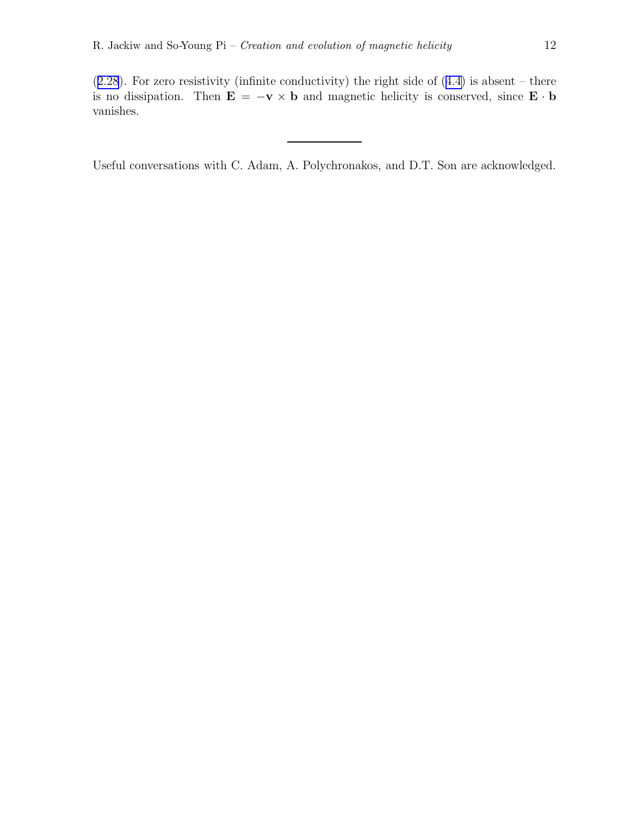$(2.28)$  $(2.28)$  $(2.28)$ .For zero resistivity (infinite conductivity) the right side of  $(4.4)$  $(4.4)$  is absent – there is no dissipation. Then  $\mathbf{E} = -\mathbf{v} \times \mathbf{b}$  and magnetic helicity is conserved, since  $\mathbf{E} \cdot \mathbf{b}$ vanishes.

Useful conversations with C. Adam, A. Polychronakos, and D.T. Son are acknowledged.